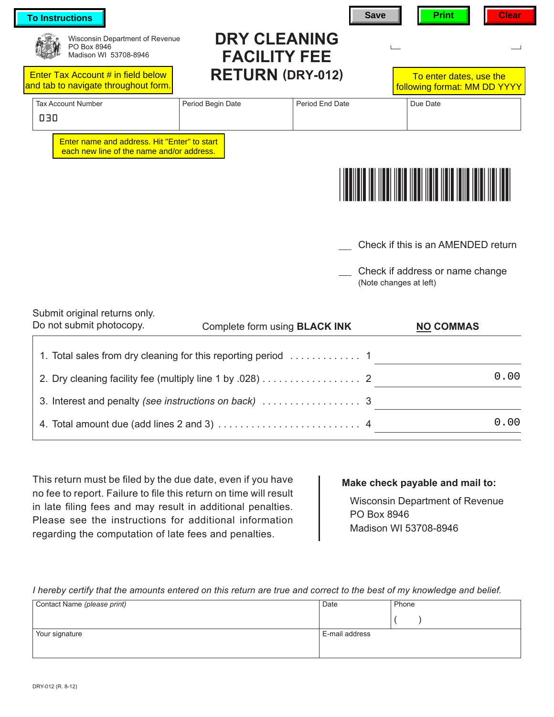| <b>To Instructions</b>                                                                    |                                            | <b>Save</b>     | <b>Print</b><br><b>Clear</b>                              |  |
|-------------------------------------------------------------------------------------------|--------------------------------------------|-----------------|-----------------------------------------------------------|--|
| Wisconsin Department of Revenue<br>PO Box 8946<br>Madison WI 53708-8946                   | <b>DRY CLEANING</b><br><b>FACILITY FEE</b> |                 |                                                           |  |
| Enter Tax Account # in field below<br>and tab to navigate throughout form.                | <b>RETURN (DRY-012)</b>                    |                 | To enter dates, use the<br>following format: MM DD YYYY   |  |
| <b>Tax Account Number</b><br>030                                                          | Period Begin Date                          | Period End Date | Due Date                                                  |  |
| Enter name and address. Hit "Enter" to start<br>each new line of the name and/or address. |                                            |                 |                                                           |  |
|                                                                                           |                                            |                 |                                                           |  |
|                                                                                           |                                            |                 |                                                           |  |
|                                                                                           |                                            |                 | Check if this is an AMENDED return                        |  |
|                                                                                           |                                            |                 | Check if address or name change<br>(Note changes at left) |  |
| Submit original returns only.<br>Do not submit photocopy.                                 | Complete form using <b>BLACK INK</b>       |                 | <b>NO COMMAS</b>                                          |  |
|                                                                                           |                                            |                 |                                                           |  |
| 2. Dry cleaning facility fee (multiply line 1 by .028) 2                                  |                                            |                 | 0.00                                                      |  |
|                                                                                           |                                            |                 | <u> 1980 - Jan Barbara Barbara, manazarta da </u>         |  |
|                                                                                           |                                            |                 | 0.00                                                      |  |

This return must be filed by the due date, even if you have no fee to report. Failure to file this return on time will result in late filing fees and may result in additional penalties. Please see the instructions for additional information regarding the computation of late fees and penalties.

## **Make check payable and mail to:**

Wisconsin Department of Revenue PO Box 8946 Madison WI 53708-8946

*I hereby certify that the amounts entered on this return are true and correct to the best of my knowledge and belief.*

| Contact Name (please print) | Date           | Phone |
|-----------------------------|----------------|-------|
|                             |                |       |
| Your signature              | E-mail address |       |
|                             |                |       |
|                             |                |       |